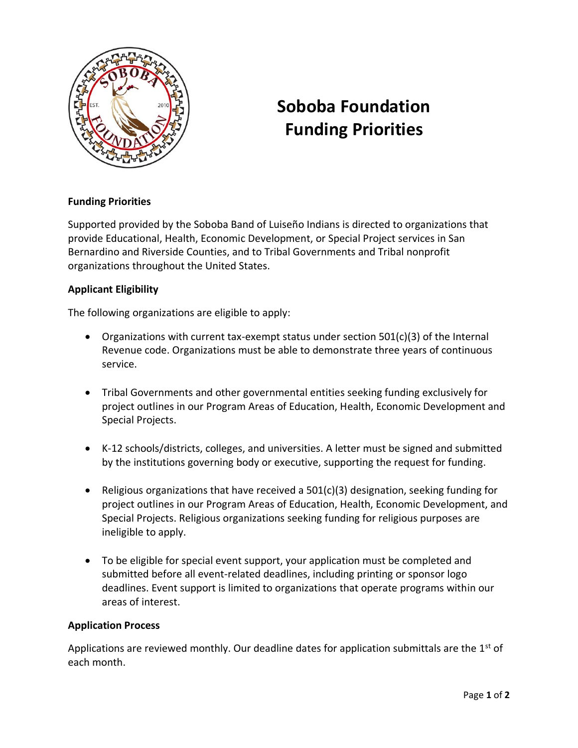

# **Soboba Foundation Funding Priorities**

## **Funding Priorities**

Supported provided by the Soboba Band of Luiseño Indians is directed to organizations that provide Educational, Health, Economic Development, or Special Project services in San Bernardino and Riverside Counties, and to Tribal Governments and Tribal nonprofit organizations throughout the United States.

### **Applicant Eligibility**

The following organizations are eligible to apply:

- Organizations with current tax-exempt status under section  $501(c)(3)$  of the Internal Revenue code. Organizations must be able to demonstrate three years of continuous service.
- Tribal Governments and other governmental entities seeking funding exclusively for project outlines in our Program Areas of Education, Health, Economic Development and Special Projects.
- K-12 schools/districts, colleges, and universities. A letter must be signed and submitted by the institutions governing body or executive, supporting the request for funding.
- Religious organizations that have received a  $501(c)(3)$  designation, seeking funding for project outlines in our Program Areas of Education, Health, Economic Development, and Special Projects. Religious organizations seeking funding for religious purposes are ineligible to apply.
- To be eligible for special event support, your application must be completed and submitted before all event-related deadlines, including printing or sponsor logo deadlines. Event support is limited to organizations that operate programs within our areas of interest.

### **Application Process**

Applications are reviewed monthly. Our deadline dates for application submittals are the  $1<sup>st</sup>$  of each month.